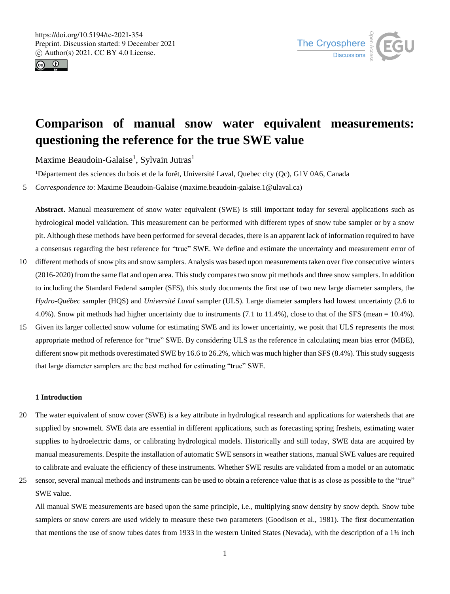



# **Comparison of manual snow water equivalent measurements: questioning the reference for the true SWE value**

Maxime Beaudoin-Galaise<sup>1</sup>, Sylvain Jutras<sup>1</sup>

<sup>1</sup>Département des sciences du bois et de la forêt, Université Laval, Quebec city (Qc), G1V 0A6, Canada

5 *Correspondence to*: Maxime Beaudoin-Galaise (maxime.beaudoin-galaise.1@ulaval.ca)

**Abstract.** Manual measurement of snow water equivalent (SWE) is still important today for several applications such as hydrological model validation. This measurement can be performed with different types of snow tube sampler or by a snow pit. Although these methods have been performed for several decades, there is an apparent lack of information required to have a consensus regarding the best reference for "true" SWE. We define and estimate the uncertainty and measurement error of

- 10 different methods of snow pits and snow samplers. Analysis was based upon measurements taken over five consecutive winters (2016-2020) from the same flat and open area. This study compares two snow pit methods and three snow samplers. In addition to including the Standard Federal sampler (SFS), this study documents the first use of two new large diameter samplers, the *Hydro-Québec* sampler (HQS) and *Université Laval* sampler (ULS). Large diameter samplers had lowest uncertainty (2.6 to 4.0%). Snow pit methods had higher uncertainty due to instruments (7.1 to 11.4%), close to that of the SFS (mean = 10.4%).
- 15 Given its larger collected snow volume for estimating SWE and its lower uncertainty, we posit that ULS represents the most appropriate method of reference for "true" SWE. By considering ULS as the reference in calculating mean bias error (MBE), different snow pit methods overestimated SWE by 16.6 to 26.2%, which was much higher than SFS (8.4%). This study suggests that large diameter samplers are the best method for estimating "true" SWE.

#### **1 Introduction**

- 20 The water equivalent of snow cover (SWE) is a key attribute in hydrological research and applications for watersheds that are supplied by snowmelt. SWE data are essential in different applications, such as forecasting spring freshets, estimating water supplies to hydroelectric dams, or calibrating hydrological models. Historically and still today, SWE data are acquired by manual measurements. Despite the installation of automatic SWE sensors in weather stations, manual SWE values are required to calibrate and evaluate the efficiency of these instruments. Whether SWE results are validated from a model or an automatic
- 25 sensor, several manual methods and instruments can be used to obtain a reference value that is as close as possible to the "true" SWE value.

All manual SWE measurements are based upon the same principle, i.e., multiplying snow density by snow depth. Snow tube samplers or snow corers are used widely to measure these two parameters (Goodison et al., 1981). The first documentation that mentions the use of snow tubes dates from 1933 in the western United States (Nevada), with the description of a 1¾ inch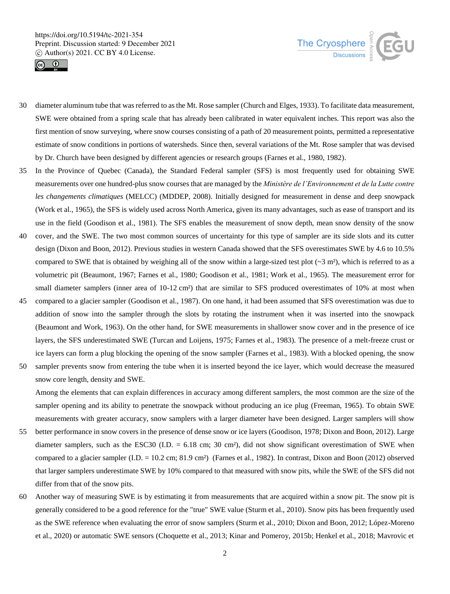



- 30 diameter aluminum tube that was referred to as the Mt. Rose sampler (Church and Elges, 1933). To facilitate data measurement, SWE were obtained from a spring scale that has already been calibrated in water equivalent inches. This report was also the first mention of snow surveying, where snow courses consisting of a path of 20 measurement points, permitted a representative estimate of snow conditions in portions of watersheds. Since then, several variations of the Mt. Rose sampler that was devised by Dr. Church have been designed by different agencies or research groups (Farnes et al., 1980, 1982).
- 35 In the Province of Quebec (Canada), the Standard Federal sampler (SFS) is most frequently used for obtaining SWE measurements over one hundred-plus snow courses that are managed by the *Ministère de l'Environnement et de la Lutte contre les changements climatiques* (MELCC) (MDDEP, 2008). Initially designed for measurement in dense and deep snowpack (Work et al., 1965), the SFS is widely used across North America, given its many advantages, such as ease of transport and its use in the field (Goodison et al., 1981). The SFS enables the measurement of snow depth, mean snow density of the snow
- 40 cover, and the SWE. The two most common sources of uncertainty for this type of sampler are its side slots and its cutter design (Dixon and Boon, 2012). Previous studies in western Canada showed that the SFS overestimates SWE by 4.6 to 10.5% compared to SWE that is obtained by weighing all of the snow within a large-sized test plot  $({\sim}3 \text{ m}^2)$ , which is referred to as a volumetric pit (Beaumont, 1967; Farnes et al., 1980; Goodison et al., 1981; Work et al., 1965). The measurement error for small diameter samplers (inner area of 10-12 cm<sup>2</sup>) that are similar to SFS produced overestimates of 10% at most when
- 45 compared to a glacier sampler (Goodison et al., 1987). On one hand, it had been assumed that SFS overestimation was due to addition of snow into the sampler through the slots by rotating the instrument when it was inserted into the snowpack (Beaumont and Work, 1963). On the other hand, for SWE measurements in shallower snow cover and in the presence of ice layers, the SFS underestimated SWE (Turcan and Loijens, 1975; Farnes et al., 1983). The presence of a melt-freeze crust or ice layers can form a plug blocking the opening of the snow sampler (Farnes et al., 1983). With a blocked opening, the snow
- 50 sampler prevents snow from entering the tube when it is inserted beyond the ice layer, which would decrease the measured snow core length, density and SWE.

Among the elements that can explain differences in accuracy among different samplers, the most common are the size of the sampler opening and its ability to penetrate the snowpack without producing an ice plug (Freeman, 1965). To obtain SWE measurements with greater accuracy, snow samplers with a larger diameter have been designed. Larger samplers will show

- 55 better performance in snow covers in the presence of dense snow or ice layers (Goodison, 1978; Dixon and Boon, 2012). Large diameter samplers, such as the ESC30 (I.D. = 6.18 cm; 30 cm<sup>2</sup>), did not show significant overestimation of SWE when compared to a glacier sampler (I.D. = 10.2 cm; 81.9 cm²) (Farnes et al., 1982). In contrast, Dixon and Boon (2012) observed that larger samplers underestimate SWE by 10% compared to that measured with snow pits, while the SWE of the SFS did not differ from that of the snow pits.
- 60 Another way of measuring SWE is by estimating it from measurements that are acquired within a snow pit. The snow pit is generally considered to be a good reference for the "true" SWE value (Sturm et al., 2010). Snow pits has been frequently used as the SWE reference when evaluating the error of snow samplers (Sturm et al., 2010; Dixon and Boon, 2012; López-Moreno et al., 2020) or automatic SWE sensors (Choquette et al., 2013; Kinar and Pomeroy, 2015b; Henkel et al., 2018; Mavrovic et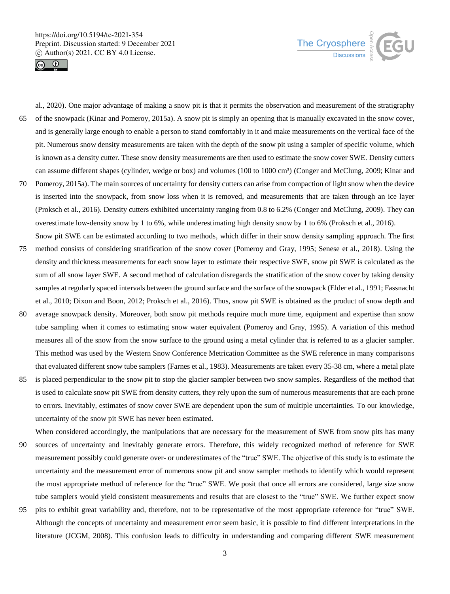



al., 2020). One major advantage of making a snow pit is that it permits the observation and measurement of the stratigraphy 65 of the snowpack (Kinar and Pomeroy, 2015a). A snow pit is simply an opening that is manually excavated in the snow cover, and is generally large enough to enable a person to stand comfortably in it and make measurements on the vertical face of the pit. Numerous snow density measurements are taken with the depth of the snow pit using a sampler of specific volume, which is known as a density cutter. These snow density measurements are then used to estimate the snow cover SWE. Density cutters can assume different shapes (cylinder, wedge or box) and volumes (100 to 1000 cm<sup>3</sup>) (Conger and McClung, 2009; Kinar and 70 Pomeroy, 2015a). The main sources of uncertainty for density cutters can arise from compaction of light snow when the device is inserted into the snowpack, from snow loss when it is removed, and measurements that are taken through an ice layer (Proksch et al., 2016). Density cutters exhibited uncertainty ranging from 0.8 to 6.2% (Conger and McClung, 2009). They can

overestimate low-density snow by 1 to 6%, while underestimating high density snow by 1 to 6% (Proksch et al., 2016).

- Snow pit SWE can be estimated according to two methods, which differ in their snow density sampling approach. The first 75 method consists of considering stratification of the snow cover (Pomeroy and Gray, 1995; Senese et al., 2018). Using the density and thickness measurements for each snow layer to estimate their respective SWE, snow pit SWE is calculated as the sum of all snow layer SWE. A second method of calculation disregards the stratification of the snow cover by taking density samples at regularly spaced intervals between the ground surface and the surface of the snowpack (Elder et al., 1991; Fassnacht et al., 2010; Dixon and Boon, 2012; Proksch et al., 2016). Thus, snow pit SWE is obtained as the product of snow depth and
- 80 average snowpack density. Moreover, both snow pit methods require much more time, equipment and expertise than snow tube sampling when it comes to estimating snow water equivalent (Pomeroy and Gray, 1995). A variation of this method measures all of the snow from the snow surface to the ground using a metal cylinder that is referred to as a glacier sampler. This method was used by the Western Snow Conference Metrication Committee as the SWE reference in many comparisons that evaluated different snow tube samplers (Farnes et al., 1983). Measurements are taken every 35-38 cm, where a metal plate
- 85 is placed perpendicular to the snow pit to stop the glacier sampler between two snow samples. Regardless of the method that is used to calculate snow pit SWE from density cutters, they rely upon the sum of numerous measurements that are each prone to errors. Inevitably, estimates of snow cover SWE are dependent upon the sum of multiple uncertainties. To our knowledge, uncertainty of the snow pit SWE has never been estimated.

When considered accordingly, the manipulations that are necessary for the measurement of SWE from snow pits has many 90 sources of uncertainty and inevitably generate errors. Therefore, this widely recognized method of reference for SWE measurement possibly could generate over- or underestimates of the "true" SWE. The objective of this study is to estimate the uncertainty and the measurement error of numerous snow pit and snow sampler methods to identify which would represent the most appropriate method of reference for the "true" SWE. We posit that once all errors are considered, large size snow tube samplers would yield consistent measurements and results that are closest to the "true" SWE. We further expect snow

95 pits to exhibit great variability and, therefore, not to be representative of the most appropriate reference for "true" SWE. Although the concepts of uncertainty and measurement error seem basic, it is possible to find different interpretations in the literature (JCGM, 2008). This confusion leads to difficulty in understanding and comparing different SWE measurement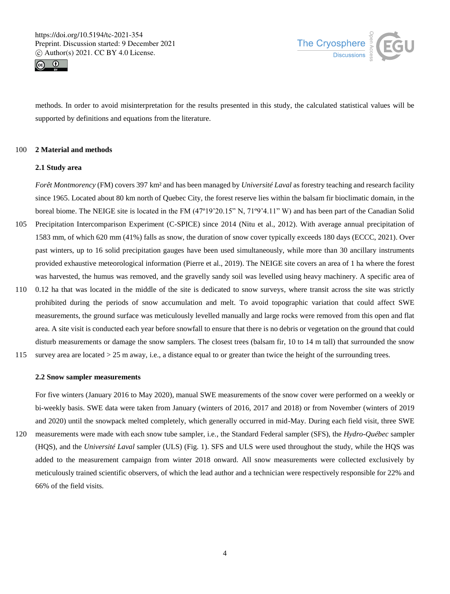



methods. In order to avoid misinterpretation for the results presented in this study, the calculated statistical values will be supported by definitions and equations from the literature.

## 100 **2 Material and methods**

## **2.1 Study area**

*Forêt Montmorency* (FM) covers 397 km² and has been managed by *Université Laval* as forestry teaching and research facility since 1965. Located about 80 km north of Quebec City, the forest reserve lies within the balsam fir bioclimatic domain, in the boreal biome. The NEIGE site is located in the FM (47º19'20.15" N, 71º9'4.11" W) and has been part of the Canadian Solid

- 105 Precipitation Intercomparison Experiment (C-SPICE) since 2014 (Nitu et al., 2012). With average annual precipitation of 1583 mm, of which 620 mm (41%) falls as snow, the duration of snow cover typically exceeds 180 days (ECCC, 2021). Over past winters, up to 16 solid precipitation gauges have been used simultaneously, while more than 30 ancillary instruments provided exhaustive meteorological information (Pierre et al., 2019). The NEIGE site covers an area of 1 ha where the forest was harvested, the humus was removed, and the gravelly sandy soil was levelled using heavy machinery. A specific area of
- 110 0.12 ha that was located in the middle of the site is dedicated to snow surveys, where transit across the site was strictly prohibited during the periods of snow accumulation and melt. To avoid topographic variation that could affect SWE measurements, the ground surface was meticulously levelled manually and large rocks were removed from this open and flat area. A site visit is conducted each year before snowfall to ensure that there is no debris or vegetation on the ground that could disturb measurements or damage the snow samplers. The closest trees (balsam fir, 10 to 14 m tall) that surrounded the snow
- 115 survey area are located > 25 m away, i.e., a distance equal to or greater than twice the height of the surrounding trees.

## **2.2 Snow sampler measurements**

For five winters (January 2016 to May 2020), manual SWE measurements of the snow cover were performed on a weekly or bi-weekly basis. SWE data were taken from January (winters of 2016, 2017 and 2018) or from November (winters of 2019 and 2020) until the snowpack melted completely, which generally occurred in mid-May. During each field visit, three SWE

120 measurements were made with each snow tube sampler, i.e., the Standard Federal sampler (SFS), the *Hydro-Québec* sampler (HQS), and the *Université Laval* sampler (ULS) (Fig. 1). SFS and ULS were used throughout the study, while the HQS was added to the measurement campaign from winter 2018 onward. All snow measurements were collected exclusively by meticulously trained scientific observers, of which the lead author and a technician were respectively responsible for 22% and 66% of the field visits.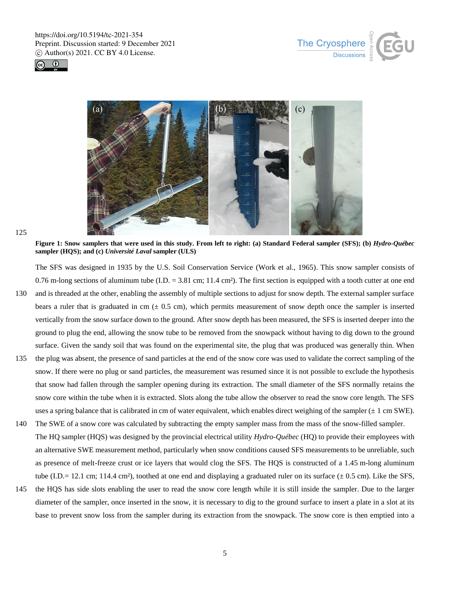





125

**Figure 1: Snow samplers that were used in this study. From left to right: (a) Standard Federal sampler (SFS); (b)** *Hydro-Québec* **sampler (HQS); and (c)** *Université Laval* **sampler (ULS)**

The SFS was designed in 1935 by the U.S. Soil Conservation Service (Work et al., 1965). This snow sampler consists of 0.76 m-long sections of aluminum tube  $(I.D. = 3.81$  cm; 11.4 cm<sup>2</sup>). The first section is equipped with a tooth cutter at one end 130 and is threaded at the other, enabling the assembly of multiple sections to adjust for snow depth. The external sampler surface bears a ruler that is graduated in cm  $(\pm 0.5 \text{ cm})$ , which permits measurement of snow depth once the sampler is inserted vertically from the snow surface down to the ground. After snow depth has been measured, the SFS is inserted deeper into the ground to plug the end, allowing the snow tube to be removed from the snowpack without having to dig down to the ground surface. Given the sandy soil that was found on the experimental site, the plug that was produced was generally thin. When

- 135 the plug was absent, the presence of sand particles at the end of the snow core was used to validate the correct sampling of the snow. If there were no plug or sand particles, the measurement was resumed since it is not possible to exclude the hypothesis that snow had fallen through the sampler opening during its extraction. The small diameter of the SFS normally retains the snow core within the tube when it is extracted. Slots along the tube allow the observer to read the snow core length. The SFS uses a spring balance that is calibrated in cm of water equivalent, which enables direct weighing of the sampler  $(\pm 1 \text{ cm SWE})$ .
- 140 The SWE of a snow core was calculated by subtracting the empty sampler mass from the mass of the snow-filled sampler. The HQ sampler (HQS) was designed by the provincial electrical utility *Hydro-Québec* (HQ) to provide their employees with an alternative SWE measurement method, particularly when snow conditions caused SFS measurements to be unreliable, such as presence of melt-freeze crust or ice layers that would clog the SFS. The HQS is constructed of a 1.45 m-long aluminum tube (I.D.= 12.1 cm; 114.4 cm²), toothed at one end and displaying a graduated ruler on its surface ( $\pm$  0.5 cm). Like the SFS,
- 145 the HQS has side slots enabling the user to read the snow core length while it is still inside the sampler. Due to the larger diameter of the sampler, once inserted in the snow, it is necessary to dig to the ground surface to insert a plate in a slot at its base to prevent snow loss from the sampler during its extraction from the snowpack. The snow core is then emptied into a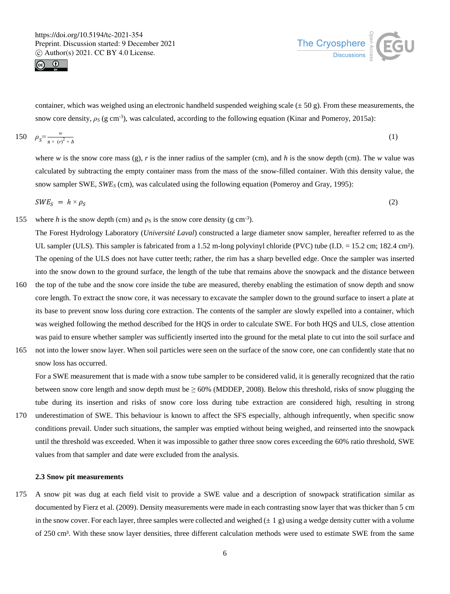



container, which was weighed using an electronic handheld suspended weighing scale ( $\pm$  50 g). From these measurements, the snow core density,  $\rho_S$  (g cm<sup>-3</sup>), was calculated, according to the following equation (Kinar and Pomeroy, 2015a):

$$
150 \quad \rho_S = \frac{w}{\pi \times (r)^2 \times h} \tag{1}
$$

where *w* is the snow core mass (g), *r* is the inner radius of the sampler (cm), and *h* is the snow depth (cm). The *w* value was calculated by subtracting the empty container mass from the mass of the snow-filled container. With this density value, the snow sampler SWE, *SWE<sup>S</sup>* (cm), was calculated using the following equation (Pomeroy and Gray, 1995):

$$
SWE_S = h \times \rho_S \tag{2}
$$

155 where *h* is the snow depth (cm) and  $\rho_s$  is the snow core density (g cm<sup>-3</sup>).

The Forest Hydrology Laboratory (*Université Laval*) constructed a large diameter snow sampler, hereafter referred to as the UL sampler (ULS). This sampler is fabricated from a 1.52 m-long polyvinyl chloride (PVC) tube (I.D. = 15.2 cm; 182.4 cm<sup>2</sup>). The opening of the ULS does not have cutter teeth; rather, the rim has a sharp bevelled edge. Once the sampler was inserted into the snow down to the ground surface, the length of the tube that remains above the snowpack and the distance between

- 160 the top of the tube and the snow core inside the tube are measured, thereby enabling the estimation of snow depth and snow core length. To extract the snow core, it was necessary to excavate the sampler down to the ground surface to insert a plate at its base to prevent snow loss during core extraction. The contents of the sampler are slowly expelled into a container, which was weighed following the method described for the HQS in order to calculate SWE. For both HQS and ULS, close attention was paid to ensure whether sampler was sufficiently inserted into the ground for the metal plate to cut into the soil surface and
- 165 not into the lower snow layer. When soil particles were seen on the surface of the snow core, one can confidently state that no snow loss has occurred.

For a SWE measurement that is made with a snow tube sampler to be considered valid, it is generally recognized that the ratio between snow core length and snow depth must be  $\geq 60\%$  (MDDEP, 2008). Below this threshold, risks of snow plugging the tube during its insertion and risks of snow core loss during tube extraction are considered high, resulting in strong

170 underestimation of SWE. This behaviour is known to affect the SFS especially, although infrequently, when specific snow conditions prevail. Under such situations, the sampler was emptied without being weighed, and reinserted into the snowpack until the threshold was exceeded. When it was impossible to gather three snow cores exceeding the 60% ratio threshold, SWE values from that sampler and date were excluded from the analysis.

## **2.3 Snow pit measurements**

175 A snow pit was dug at each field visit to provide a SWE value and a description of snowpack stratification similar as documented by Fierz et al. (2009). Density measurements were made in each contrasting snow layer that was thicker than 5 cm in the snow cover. For each layer, three samples were collected and weighed  $(\pm 1 \text{ g})$  using a wedge density cutter with a volume of 250 cm<sup>3</sup>. With these snow layer densities, three different calculation methods were used to estimate SWE from the same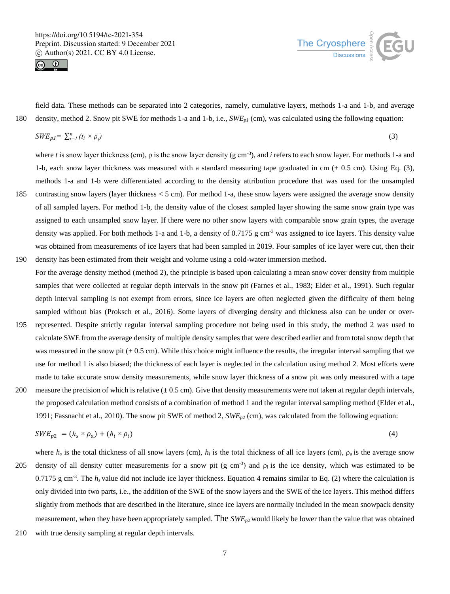



field data. These methods can be separated into 2 categories, namely, cumulative layers, methods 1-a and 1-b, and average 180 density, method 2. Snow pit SWE for methods 1-a and 1-b, i.e., *SWEp1* (cm), was calculated using the following equation:

$$
SWE_{p1} = \sum_{i=1}^{n} (t_i \times \rho_i) \tag{3}
$$

where *t* is snow layer thickness (cm),  $\rho$  is the snow layer density (g cm<sup>-3</sup>), and *i* refers to each snow layer. For methods 1-a and 1-b, each snow layer thickness was measured with a standard measuring tape graduated in cm  $(\pm 0.5 \text{ cm})$ . Using Eq. (3), methods 1-a and 1-b were differentiated according to the density attribution procedure that was used for the unsampled 185 contrasting snow layers (layer thickness < 5 cm). For method 1-a, these snow layers were assigned the average snow density

- of all sampled layers. For method 1-b, the density value of the closest sampled layer showing the same snow grain type was assigned to each unsampled snow layer. If there were no other snow layers with comparable snow grain types, the average density was applied. For both methods 1-a and 1-b, a density of 0.7175 g cm<sup>-3</sup> was assigned to ice layers. This density value was obtained from measurements of ice layers that had been sampled in 2019. Four samples of ice layer were cut, then their 190 density has been estimated from their weight and volume using a cold-water immersion method.
- For the average density method (method 2), the principle is based upon calculating a mean snow cover density from multiple samples that were collected at regular depth intervals in the snow pit (Farnes et al., 1983; Elder et al., 1991). Such regular depth interval sampling is not exempt from errors, since ice layers are often neglected given the difficulty of them being sampled without bias (Proksch et al., 2016). Some layers of diverging density and thickness also can be under or over-
- 195 represented. Despite strictly regular interval sampling procedure not being used in this study, the method 2 was used to calculate SWE from the average density of multiple density samples that were described earlier and from total snow depth that was measured in the snow pit ( $\pm$  0.5 cm). While this choice might influence the results, the irregular interval sampling that we use for method 1 is also biased; the thickness of each layer is neglected in the calculation using method 2. Most efforts were made to take accurate snow density measurements, while snow layer thickness of a snow pit was only measured with a tape
- 200 measure the precision of which is relative  $(\pm 0.5 \text{ cm})$ . Give that density measurements were not taken at regular depth intervals, the proposed calculation method consists of a combination of method 1 and the regular interval sampling method (Elder et al., 1991; Fassnacht et al., 2010). The snow pit SWE of method 2, *SWEp2* (cm), was calculated from the following equation:

$$
SWE_{p2} = (h_s \times \rho_a) + (h_i \times \rho_i) \tag{4}
$$

where  $h_s$  is the total thickness of all snow layers (cm),  $h_i$  is the total thickness of all ice layers (cm),  $\rho_a$  is the average snow 205 density of all density cutter measurements for a snow pit (g cm<sup>-3</sup>) and  $\rho_i$  is the ice density, which was estimated to be 0.7175 g cm<sup>-3</sup>. The  $h_s$  value did not include ice layer thickness. Equation 4 remains similar to Eq. (2) where the calculation is only divided into two parts, i.e., the addition of the SWE of the snow layers and the SWE of the ice layers. This method differs slightly from methods that are described in the literature, since ice layers are normally included in the mean snowpack density measurement, when they have been appropriately sampled. The *SWEp2* would likely be lower than the value that was obtained

210 with true density sampling at regular depth intervals.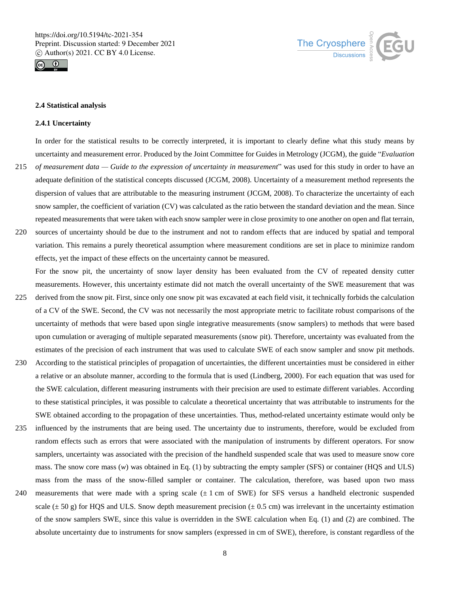



## **2.4 Statistical analysis**

### **2.4.1 Uncertainty**

In order for the statistical results to be correctly interpreted, it is important to clearly define what this study means by uncertainty and measurement error. Produced by the Joint Committee for Guides in Metrology (JCGM), the guide "*Evaluation* 

- 215 *of measurement data — Guide to the expression of uncertainty in measurement*" was used for this study in order to have an adequate definition of the statistical concepts discussed (JCGM, 2008). Uncertainty of a measurement method represents the dispersion of values that are attributable to the measuring instrument (JCGM, 2008). To characterize the uncertainty of each snow sampler, the coefficient of variation (CV) was calculated as the ratio between the standard deviation and the mean. Since repeated measurements that were taken with each snow sampler were in close proximity to one another on open and flat terrain,
- 220 sources of uncertainty should be due to the instrument and not to random effects that are induced by spatial and temporal variation. This remains a purely theoretical assumption where measurement conditions are set in place to minimize random effects, yet the impact of these effects on the uncertainty cannot be measured.

For the snow pit, the uncertainty of snow layer density has been evaluated from the CV of repeated density cutter measurements. However, this uncertainty estimate did not match the overall uncertainty of the SWE measurement that was

- 225 derived from the snow pit. First, since only one snow pit was excavated at each field visit, it technically forbids the calculation of a CV of the SWE. Second, the CV was not necessarily the most appropriate metric to facilitate robust comparisons of the uncertainty of methods that were based upon single integrative measurements (snow samplers) to methods that were based upon cumulation or averaging of multiple separated measurements (snow pit). Therefore, uncertainty was evaluated from the estimates of the precision of each instrument that was used to calculate SWE of each snow sampler and snow pit methods.
- 230 According to the statistical principles of propagation of uncertainties, the different uncertainties must be considered in either a relative or an absolute manner, according to the formula that is used (Lindberg, 2000). For each equation that was used for the SWE calculation, different measuring instruments with their precision are used to estimate different variables. According to these statistical principles, it was possible to calculate a theoretical uncertainty that was attributable to instruments for the SWE obtained according to the propagation of these uncertainties. Thus, method-related uncertainty estimate would only be
- 235 influenced by the instruments that are being used. The uncertainty due to instruments, therefore, would be excluded from random effects such as errors that were associated with the manipulation of instruments by different operators. For snow samplers, uncertainty was associated with the precision of the handheld suspended scale that was used to measure snow core mass. The snow core mass (*w*) was obtained in Eq. (1) by subtracting the empty sampler (SFS) or container (HQS and ULS) mass from the mass of the snow-filled sampler or container. The calculation, therefore, was based upon two mass
- 240 measurements that were made with a spring scale  $(\pm 1 \text{ cm of SWE})$  for SFS versus a handheld electronic suspended scale  $(\pm 50 \text{ g})$  for HQS and ULS. Snow depth measurement precision  $(\pm 0.5 \text{ cm})$  was irrelevant in the uncertainty estimation of the snow samplers SWE, since this value is overridden in the SWE calculation when Eq. (1) and (2) are combined. The absolute uncertainty due to instruments for snow samplers (expressed in cm of SWE), therefore, is constant regardless of the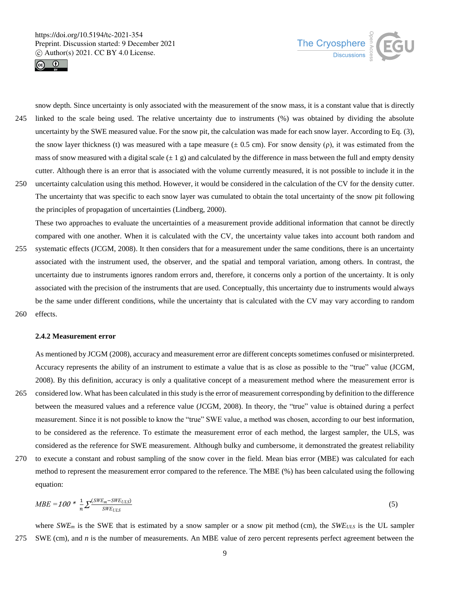



snow depth. Since uncertainty is only associated with the measurement of the snow mass, it is a constant value that is directly 245 linked to the scale being used. The relative uncertainty due to instruments (%) was obtained by dividing the absolute uncertainty by the SWE measured value. For the snow pit, the calculation was made for each snow layer. According to Eq. (3), the snow layer thickness (t) was measured with a tape measure  $(\pm 0.5 \text{ cm})$ . For snow density (ρ), it was estimated from the mass of snow measured with a digital scale  $(\pm 1 \text{ g})$  and calculated by the difference in mass between the full and empty density cutter. Although there is an error that is associated with the volume currently measured, it is not possible to include it in the 250 uncertainty calculation using this method. However, it would be considered in the calculation of the CV for the density cutter.

The uncertainty that was specific to each snow layer was cumulated to obtain the total uncertainty of the snow pit following the principles of propagation of uncertainties (Lindberg, 2000).

These two approaches to evaluate the uncertainties of a measurement provide additional information that cannot be directly compared with one another. When it is calculated with the CV, the uncertainty value takes into account both random and 255 systematic effects (JCGM, 2008). It then considers that for a measurement under the same conditions, there is an uncertainty associated with the instrument used, the observer, and the spatial and temporal variation, among others. In contrast, the uncertainty due to instruments ignores random errors and, therefore, it concerns only a portion of the uncertainty. It is only associated with the precision of the instruments that are used. Conceptually, this uncertainty due to instruments would always be the same under different conditions, while the uncertainty that is calculated with the CV may vary according to random 260 effects.

#### **2.4.2 Measurement error**

As mentioned by JCGM (2008), accuracy and measurement error are different concepts sometimes confused or misinterpreted. Accuracy represents the ability of an instrument to estimate a value that is as close as possible to the "true" value (JCGM, 2008). By this definition, accuracy is only a qualitative concept of a measurement method where the measurement error is 265 considered low. What has been calculated in this study is the error of measurement corresponding by definition to the difference

- between the measured values and a reference value (JCGM, 2008). In theory, the "true" value is obtained during a perfect measurement. Since it is not possible to know the "true" SWE value, a method was chosen, according to our best information, to be considered as the reference. To estimate the measurement error of each method, the largest sampler, the ULS, was considered as the reference for SWE measurement. Although bulky and cumbersome, it demonstrated the greatest reliability
- 270 to execute a constant and robust sampling of the snow cover in the field. Mean bias error (MBE) was calculated for each method to represent the measurement error compared to the reference. The MBE (%) has been calculated using the following equation:

$$
MBE = 100 * \frac{1}{n} \sum \frac{(SWE_m - SWE_{ULS})}{SWE_{ULS}} \tag{5}
$$

where *SWE<sub>m</sub>* is the SWE that is estimated by a snow sampler or a snow pit method (cm), the *SWE<sub>ULS</sub>* is the UL sampler 275 SWE (cm), and *n* is the number of measurements. An MBE value of zero percent represents perfect agreement between the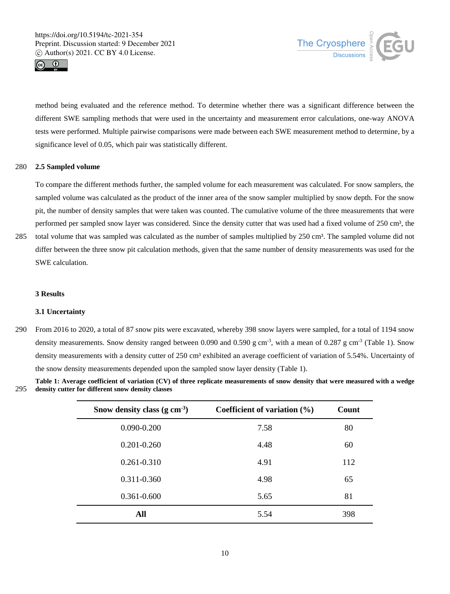



method being evaluated and the reference method. To determine whether there was a significant difference between the different SWE sampling methods that were used in the uncertainty and measurement error calculations, one-way ANOVA tests were performed. Multiple pairwise comparisons were made between each SWE measurement method to determine, by a significance level of 0.05, which pair was statistically different.

# 280 **2.5 Sampled volume**

To compare the different methods further, the sampled volume for each measurement was calculated. For snow samplers, the sampled volume was calculated as the product of the inner area of the snow sampler multiplied by snow depth. For the snow pit, the number of density samples that were taken was counted. The cumulative volume of the three measurements that were performed per sampled snow layer was considered. Since the density cutter that was used had a fixed volume of 250 cm<sup>3</sup>, the

285 total volume that was sampled was calculated as the number of samples multiplied by 250 cm<sup>3</sup>. The sampled volume did not differ between the three snow pit calculation methods, given that the same number of density measurements was used for the SWE calculation.

## **3 Results**

## **3.1 Uncertainty**

290 From 2016 to 2020, a total of 87 snow pits were excavated, whereby 398 snow layers were sampled, for a total of 1194 snow density measurements. Snow density ranged between 0.090 and 0.590 g cm<sup>-3</sup>, with a mean of 0.287 g cm<sup>-3</sup> (Table 1). Snow density measurements with a density cutter of 250 cm<sup>3</sup> exhibited an average coefficient of variation of 5.54%. Uncertainty of the snow density measurements depended upon the sampled snow layer density (Table 1).

**Table 1: Average coefficient of variation (CV) of three replicate measurements of snow density that were measured with a wedge**  295 **density cutter for different snow density classes**

| Snow density class $(g \text{ cm}^{-3})$ | Coefficient of variation $(\% )$ | Count |
|------------------------------------------|----------------------------------|-------|
| $0.090 - 0.200$                          | 7.58                             | 80    |
| $0.201 - 0.260$                          | 4.48                             | 60    |
| $0.261 - 0.310$                          | 4.91                             | 112   |
| $0.311 - 0.360$                          | 4.98                             | 65    |
| 0.361-0.600                              | 5.65                             | 81    |
| All                                      | 5.54                             | 398   |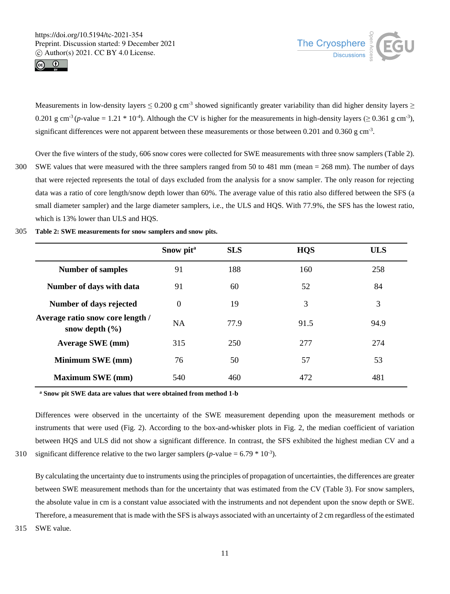



Measurements in low-density layers  $\leq 0.200$  g cm<sup>-3</sup> showed significantly greater variability than did higher density layers  $\geq$ 0.201 g cm<sup>-3</sup> (*p*-value = 1.21  $*$  10<sup>-4</sup>). Although the CV is higher for the measurements in high-density layers ( $\geq$  0.361 g cm<sup>-3</sup>), significant differences were not apparent between these measurements or those between 0.201 and 0.360 g cm<sup>-3</sup>.

- Over the five winters of the study, 606 snow cores were collected for SWE measurements with three snow samplers (Table 2). 300 SWE values that were measured with the three samplers ranged from 50 to 481 mm (mean = 268 mm). The number of days that were rejected represents the total of days excluded from the analysis for a snow sampler. The only reason for rejecting data was a ratio of core length/snow depth lower than 60%. The average value of this ratio also differed between the SFS (a small diameter sampler) and the large diameter samplers, i.e., the ULS and HQS. With 77.9%, the SFS has the lowest ratio, which is 13% lower than ULS and HQS.
- 305 **Table 2: SWE measurements for snow samplers and snow pits.**

|                                                        | Snow pit <sup>a</sup> | <b>SLS</b> | <b>HQS</b> | <b>ULS</b> |
|--------------------------------------------------------|-----------------------|------------|------------|------------|
| <b>Number of samples</b>                               | 91                    | 188        | 160        | 258        |
| Number of days with data                               | 91                    | 60         | 52         | 84         |
| Number of days rejected                                | $\theta$              | 19         | 3          | 3          |
| Average ratio snow core length /<br>snow depth $(\% )$ | <b>NA</b>             | 77.9       | 91.5       | 94.9       |
| <b>Average SWE</b> (mm)                                | 315                   | 250        | 277        | 274        |
| Minimum SWE (mm)                                       | 76                    | 50         | 57         | 53         |
| <b>Maximum SWE</b> (mm)                                | 540                   | 460        | 472        | 481        |

**<sup>a</sup> Snow pit SWE data are values that were obtained from method 1-b**

Differences were observed in the uncertainty of the SWE measurement depending upon the measurement methods or instruments that were used (Fig. 2). According to the box-and-whisker plots in Fig. 2, the median coefficient of variation between HQS and ULS did not show a significant difference. In contrast, the SFS exhibited the highest median CV and a

310 significant difference relative to the two larger samplers ( $p$ -value = 6.79  $*$  10<sup>-3</sup>).

By calculating the uncertainty due to instruments using the principles of propagation of uncertainties, the differences are greater between SWE measurement methods than for the uncertainty that was estimated from the CV (Table 3). For snow samplers, the absolute value in cm is a constant value associated with the instruments and not dependent upon the snow depth or SWE. Therefore, a measurement that is made with the SFS is always associated with an uncertainty of 2 cm regardless of the estimated 315 SWE value.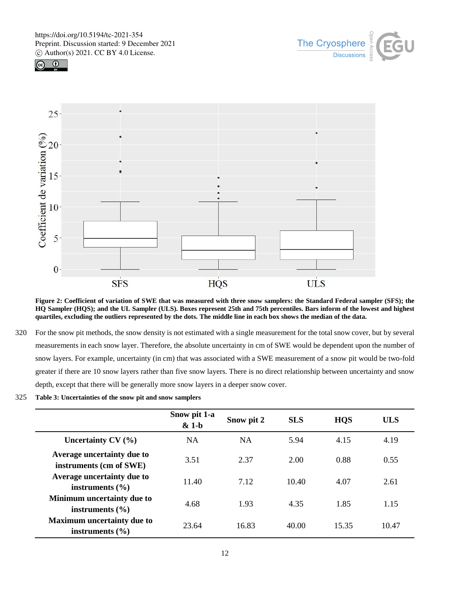





**Figure 2: Coefficient of variation of SWE that was measured with three snow samplers: the Standard Federal sampler (SFS); the HQ Sampler (HQS); and the UL Sampler (ULS). Boxes represent 25th and 75th percentiles. Bars inform of the lowest and highest quartiles, excluding the outliers represented by the dots. The middle line in each box shows the median of the data.** 

- 320 For the snow pit methods, the snow density is not estimated with a single measurement for the total snow cover, but by several measurements in each snow layer. Therefore, the absolute uncertainty in cm of SWE would be dependent upon the number of snow layers. For example, uncertainty (in cm) that was associated with a SWE measurement of a snow pit would be two-fold greater if there are 10 snow layers rather than five snow layers. There is no direct relationship between uncertainty and snow depth, except that there will be generally more snow layers in a deeper snow cover.
- 325 **Table 3: Uncertainties of the snow pit and snow samplers**

|                                                          | Snow pit 1-a<br>$& 1-b$ | Snow pit 2 | <b>SLS</b> | <b>HQS</b> | <b>ULS</b> |
|----------------------------------------------------------|-------------------------|------------|------------|------------|------------|
| Uncertainty $CV(%)$                                      | <b>NA</b>               | <b>NA</b>  | 5.94       | 4.15       | 4.19       |
| Average uncertainty due to<br>instruments (cm of SWE)    | 3.51                    | 2.37       | 2.00       | 0.88       | 0.55       |
| Average uncertainty due to<br>instruments $(\% )$        | 11.40                   | 7.12       | 10.40      | 4.07       | 2.61       |
| Minimum uncertainty due to<br>instruments $(\% )$        | 4.68                    | 1.93       | 4.35       | 1.85       | 1.15       |
| <b>Maximum uncertainty due to</b><br>instruments $(\% )$ | 23.64                   | 16.83      | 40.00      | 15.35      | 10.47      |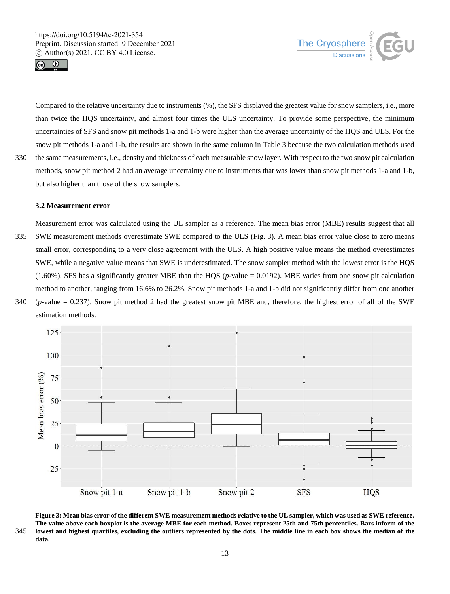but also higher than those of the snow samplers.





Compared to the relative uncertainty due to instruments (%), the SFS displayed the greatest value for snow samplers, i.e., more than twice the HQS uncertainty, and almost four times the ULS uncertainty. To provide some perspective, the minimum uncertainties of SFS and snow pit methods 1-a and 1-b were higher than the average uncertainty of the HQS and ULS. For the snow pit methods 1-a and 1-b, the results are shown in the same column in Table 3 because the two calculation methods used 330 the same measurements, i.e., density and thickness of each measurable snow layer. With respect to the two snow pit calculation methods, snow pit method 2 had an average uncertainty due to instruments that was lower than snow pit methods 1-a and 1-b,

#### **3.2 Measurement error**

Measurement error was calculated using the UL sampler as a reference. The mean bias error (MBE) results suggest that all 335 SWE measurement methods overestimate SWE compared to the ULS (Fig. 3). A mean bias error value close to zero means small error, corresponding to a very close agreement with the ULS. A high positive value means the method overestimates SWE, while a negative value means that SWE is underestimated. The snow sampler method with the lowest error is the HQS  $(1.60\%)$ . SFS has a significantly greater MBE than the HQS ( $p$ -value = 0.0192). MBE varies from one snow pit calculation method to another, ranging from 16.6% to 26.2%. Snow pit methods 1-a and 1-b did not significantly differ from one another 340 (*p*-value = 0.237). Snow pit method 2 had the greatest snow pit MBE and, therefore, the highest error of all of the SWE





**Figure 3: Mean bias error of the different SWE measurement methods relative to the UL sampler, which was used as SWE reference. The value above each boxplot is the average MBE for each method. Boxes represent 25th and 75th percentiles. Bars inform of the**  345 **lowest and highest quartiles, excluding the outliers represented by the dots. The middle line in each box shows the median of the data.**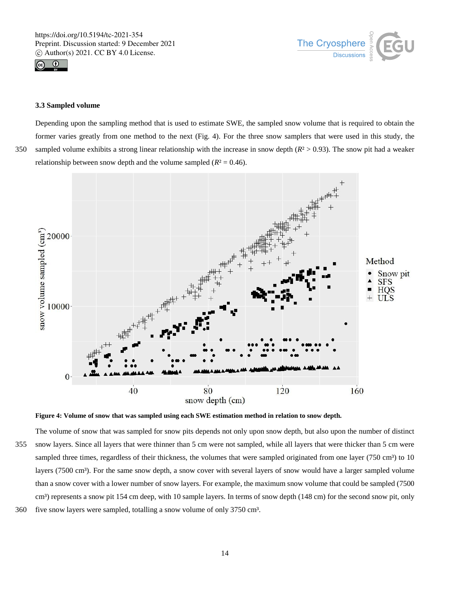



#### **3.3 Sampled volume**

Depending upon the sampling method that is used to estimate SWE, the sampled snow volume that is required to obtain the former varies greatly from one method to the next (Fig. 4). For the three snow samplers that were used in this study, the 350 sampled volume exhibits a strong linear relationship with the increase in snow depth (*R*² > 0.93). The snow pit had a weaker relationship between snow depth and the volume sampled  $(R^2 = 0.46)$ .





The volume of snow that was sampled for snow pits depends not only upon snow depth, but also upon the number of distinct 355 snow layers. Since all layers that were thinner than 5 cm were not sampled, while all layers that were thicker than 5 cm were sampled three times, regardless of their thickness, the volumes that were sampled originated from one layer (750 cm<sup>3</sup>) to 10 layers (7500 cm<sup>3</sup>). For the same snow depth, a snow cover with several layers of snow would have a larger sampled volume than a snow cover with a lower number of snow layers. For example, the maximum snow volume that could be sampled (7500 cm<sup>3</sup>) represents a snow pit 154 cm deep, with 10 sample layers. In terms of snow depth (148 cm) for the second snow pit, only 360 five snow layers were sampled, totalling a snow volume of only 3750 cm<sup>3</sup>.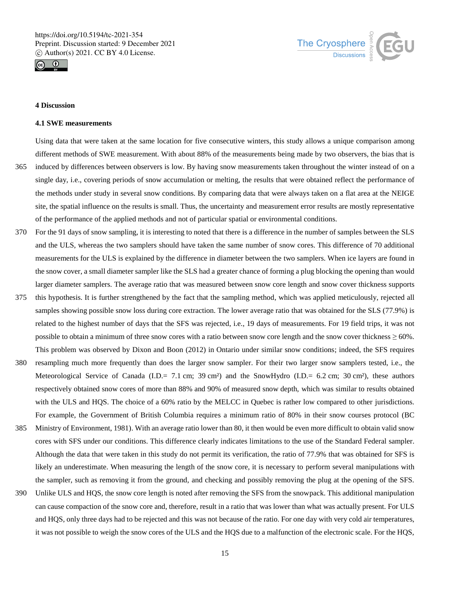



## **4 Discussion**

#### **4.1 SWE measurements**

Using data that were taken at the same location for five consecutive winters, this study allows a unique comparison among different methods of SWE measurement. With about 88% of the measurements being made by two observers, the bias that is

- 365 induced by differences between observers is low. By having snow measurements taken throughout the winter instead of on a single day, i.e., covering periods of snow accumulation or melting, the results that were obtained reflect the performance of the methods under study in several snow conditions. By comparing data that were always taken on a flat area at the NEIGE site, the spatial influence on the results is small. Thus, the uncertainty and measurement error results are mostly representative of the performance of the applied methods and not of particular spatial or environmental conditions.
- 370 For the 91 days of snow sampling, it is interesting to noted that there is a difference in the number of samples between the SLS and the ULS, whereas the two samplers should have taken the same number of snow cores. This difference of 70 additional measurements for the ULS is explained by the difference in diameter between the two samplers. When ice layers are found in the snow cover, a small diameter sampler like the SLS had a greater chance of forming a plug blocking the opening than would larger diameter samplers. The average ratio that was measured between snow core length and snow cover thickness supports
- 375 this hypothesis. It is further strengthened by the fact that the sampling method, which was applied meticulously, rejected all samples showing possible snow loss during core extraction. The lower average ratio that was obtained for the SLS (77.9%) is related to the highest number of days that the SFS was rejected, i.e., 19 days of measurements. For 19 field trips, it was not possible to obtain a minimum of three snow cores with a ratio between snow core length and the snow cover thickness  $\geq 60\%$ . This problem was observed by Dixon and Boon (2012) in Ontario under similar snow conditions; indeed, the SFS requires
- 380 resampling much more frequently than does the larger snow sampler. For their two larger snow samplers tested, i.e., the Meteorological Service of Canada (I.D.= 7.1 cm; 39 cm²) and the SnowHydro (I.D.= 6.2 cm; 30 cm²), these authors respectively obtained snow cores of more than 88% and 90% of measured snow depth, which was similar to results obtained with the ULS and HQS. The choice of a 60% ratio by the MELCC in Quebec is rather low compared to other jurisdictions. For example, the Government of British Columbia requires a minimum ratio of 80% in their snow courses protocol (BC
- 385 Ministry of Environment, 1981). With an average ratio lower than 80, it then would be even more difficult to obtain valid snow cores with SFS under our conditions. This difference clearly indicates limitations to the use of the Standard Federal sampler. Although the data that were taken in this study do not permit its verification, the ratio of 77.9% that was obtained for SFS is likely an underestimate. When measuring the length of the snow core, it is necessary to perform several manipulations with the sampler, such as removing it from the ground, and checking and possibly removing the plug at the opening of the SFS.
- 390 Unlike ULS and HQS, the snow core length is noted after removing the SFS from the snowpack. This additional manipulation can cause compaction of the snow core and, therefore, result in a ratio that was lower than what was actually present. For ULS and HQS, only three days had to be rejected and this was not because of the ratio. For one day with very cold air temperatures, it was not possible to weigh the snow cores of the ULS and the HQS due to a malfunction of the electronic scale. For the HQS,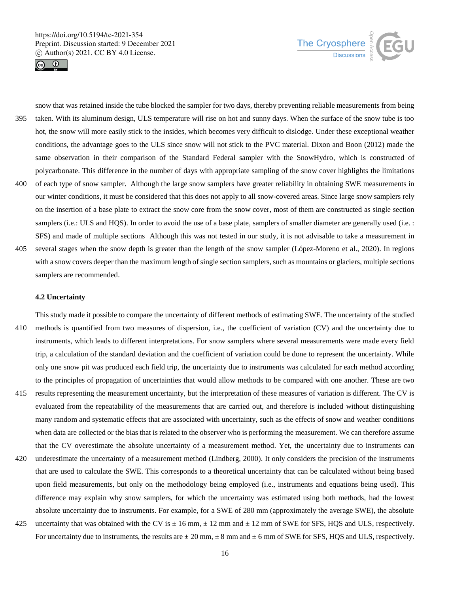



snow that was retained inside the tube blocked the sampler for two days, thereby preventing reliable measurements from being 395 taken. With its aluminum design, ULS temperature will rise on hot and sunny days. When the surface of the snow tube is too hot, the snow will more easily stick to the insides, which becomes very difficult to dislodge. Under these exceptional weather conditions, the advantage goes to the ULS since snow will not stick to the PVC material. Dixon and Boon (2012) made the same observation in their comparison of the Standard Federal sampler with the SnowHydro, which is constructed of polycarbonate. This difference in the number of days with appropriate sampling of the snow cover highlights the limitations 400 of each type of snow sampler. Although the large snow samplers have greater reliability in obtaining SWE measurements in

- our winter conditions, it must be considered that this does not apply to all snow-covered areas. Since large snow samplers rely on the insertion of a base plate to extract the snow core from the snow cover, most of them are constructed as single section samplers (i.e.: ULS and HQS). In order to avoid the use of a base plate, samplers of smaller diameter are generally used (i.e.: SFS) and made of multiple sections Although this was not tested in our study, it is not advisable to take a measurement in
- 405 several stages when the snow depth is greater than the length of the snow sampler (López-Moreno et al., 2020). In regions with a snow covers deeper than the maximum length of single section samplers, such as mountains or glaciers, multiple sections samplers are recommended.

## **4.2 Uncertainty**

This study made it possible to compare the uncertainty of different methods of estimating SWE. The uncertainty of the studied 410 methods is quantified from two measures of dispersion, i.e., the coefficient of variation (CV) and the uncertainty due to instruments, which leads to different interpretations. For snow samplers where several measurements were made every field trip, a calculation of the standard deviation and the coefficient of variation could be done to represent the uncertainty. While only one snow pit was produced each field trip, the uncertainty due to instruments was calculated for each method according to the principles of propagation of uncertainties that would allow methods to be compared with one another. These are two

- 415 results representing the measurement uncertainty, but the interpretation of these measures of variation is different. The CV is evaluated from the repeatability of the measurements that are carried out, and therefore is included without distinguishing many random and systematic effects that are associated with uncertainty, such as the effects of snow and weather conditions when data are collected or the bias that is related to the observer who is performing the measurement. We can therefore assume that the CV overestimate the absolute uncertainty of a measurement method. Yet, the uncertainty due to instruments can
- 420 underestimate the uncertainty of a measurement method (Lindberg, 2000). It only considers the precision of the instruments that are used to calculate the SWE. This corresponds to a theoretical uncertainty that can be calculated without being based upon field measurements, but only on the methodology being employed (i.e., instruments and equations being used). This difference may explain why snow samplers, for which the uncertainty was estimated using both methods, had the lowest absolute uncertainty due to instruments. For example, for a SWE of 280 mm (approximately the average SWE), the absolute
- 425 uncertainty that was obtained with the CV is  $\pm$  16 mm,  $\pm$  12 mm and  $\pm$  12 mm of SWE for SFS, HQS and ULS, respectively. For uncertainty due to instruments, the results are  $\pm 20$  mm,  $\pm 8$  mm and  $\pm 6$  mm of SWE for SFS, HQS and ULS, respectively.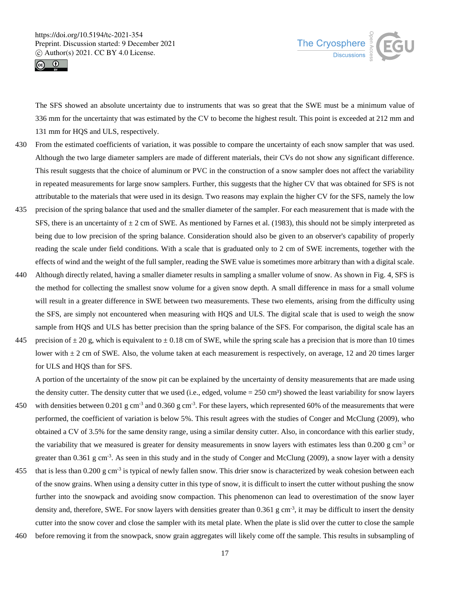



The SFS showed an absolute uncertainty due to instruments that was so great that the SWE must be a minimum value of 336 mm for the uncertainty that was estimated by the CV to become the highest result. This point is exceeded at 212 mm and 131 mm for HQS and ULS, respectively.

- 430 From the estimated coefficients of variation, it was possible to compare the uncertainty of each snow sampler that was used. Although the two large diameter samplers are made of different materials, their CVs do not show any significant difference. This result suggests that the choice of aluminum or PVC in the construction of a snow sampler does not affect the variability in repeated measurements for large snow samplers. Further, this suggests that the higher CV that was obtained for SFS is not attributable to the materials that were used in its design. Two reasons may explain the higher CV for the SFS, namely the low
- 435 precision of the spring balance that used and the smaller diameter of the sampler. For each measurement that is made with the SFS, there is an uncertainty of  $\pm 2$  cm of SWE. As mentioned by Farnes et al. (1983), this should not be simply interpreted as being due to low precision of the spring balance. Consideration should also be given to an observer's capability of properly reading the scale under field conditions. With a scale that is graduated only to 2 cm of SWE increments, together with the effects of wind and the weight of the full sampler, reading the SWE value is sometimes more arbitrary than with a digital scale.
- 440 Although directly related, having a smaller diameter results in sampling a smaller volume of snow. As shown in Fig. 4, SFS is the method for collecting the smallest snow volume for a given snow depth. A small difference in mass for a small volume will result in a greater difference in SWE between two measurements. These two elements, arising from the difficulty using the SFS, are simply not encountered when measuring with HQS and ULS. The digital scale that is used to weigh the snow sample from HQS and ULS has better precision than the spring balance of the SFS. For comparison, the digital scale has an
- 445 precision of  $\pm 20$  g, which is equivalent to  $\pm 0.18$  cm of SWE, while the spring scale has a precision that is more than 10 times lower with  $\pm 2$  cm of SWE. Also, the volume taken at each measurement is respectively, on average, 12 and 20 times larger for ULS and HQS than for SFS.

A portion of the uncertainty of the snow pit can be explained by the uncertainty of density measurements that are made using the density cutter. The density cutter that we used (i.e., edged, volume  $= 250 \text{ cm}^3$ ) showed the least variability for snow layers

- 450 with densities between 0.201 g cm<sup>-3</sup> and 0.360 g cm<sup>-3</sup>. For these layers, which represented 60% of the measurements that were performed, the coefficient of variation is below 5%. This result agrees with the studies of Conger and McClung (2009), who obtained a CV of 3.5% for the same density range, using a similar density cutter. Also, in concordance with this earlier study, the variability that we measured is greater for density measurements in snow layers with estimates less than  $0.200$  g cm<sup>-3</sup> or greater than 0.361 g cm<sup>-3</sup>. As seen in this study and in the study of Conger and McClung (2009), a snow layer with a density
- 455 that is less than 0.200 g cm<sup>-3</sup> is typical of newly fallen snow. This drier snow is characterized by weak cohesion between each of the snow grains. When using a density cutter in this type of snow, it is difficult to insert the cutter without pushing the snow further into the snowpack and avoiding snow compaction. This phenomenon can lead to overestimation of the snow layer density and, therefore, SWE. For snow layers with densities greater than 0.361 g cm<sup>-3</sup>, it may be difficult to insert the density cutter into the snow cover and close the sampler with its metal plate. When the plate is slid over the cutter to close the sample
- 460 before removing it from the snowpack, snow grain aggregates will likely come off the sample. This results in subsampling of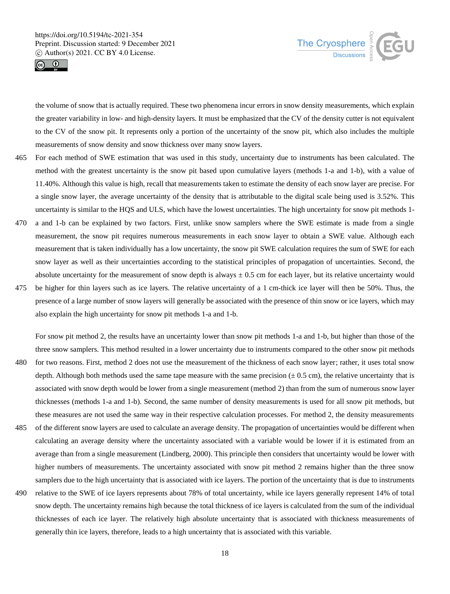



the volume of snow that is actually required. These two phenomena incur errors in snow density measurements, which explain the greater variability in low- and high-density layers. It must be emphasized that the CV of the density cutter is not equivalent to the CV of the snow pit. It represents only a portion of the uncertainty of the snow pit, which also includes the multiple measurements of snow density and snow thickness over many snow layers.

- 465 For each method of SWE estimation that was used in this study, uncertainty due to instruments has been calculated. The method with the greatest uncertainty is the snow pit based upon cumulative layers (methods 1-a and 1-b), with a value of 11.40%. Although this value is high, recall that measurements taken to estimate the density of each snow layer are precise. For a single snow layer, the average uncertainty of the density that is attributable to the digital scale being used is 3.52%. This uncertainty is similar to the HQS and ULS, which have the lowest uncertainties. The high uncertainty for snow pit methods 1-
- 470 a and 1-b can be explained by two factors. First, unlike snow samplers where the SWE estimate is made from a single measurement, the snow pit requires numerous measurements in each snow layer to obtain a SWE value. Although each measurement that is taken individually has a low uncertainty, the snow pit SWE calculation requires the sum of SWE for each snow layer as well as their uncertainties according to the statistical principles of propagation of uncertainties. Second, the absolute uncertainty for the measurement of snow depth is always  $\pm$  0.5 cm for each layer, but its relative uncertainty would
- 475 be higher for thin layers such as ice layers. The relative uncertainty of a 1 cm-thick ice layer will then be 50%. Thus, the presence of a large number of snow layers will generally be associated with the presence of thin snow or ice layers, which may also explain the high uncertainty for snow pit methods 1-a and 1-b.

For snow pit method 2, the results have an uncertainty lower than snow pit methods 1-a and 1-b, but higher than those of the three snow samplers. This method resulted in a lower uncertainty due to instruments compared to the other snow pit methods

- 480 for two reasons. First, method 2 does not use the measurement of the thickness of each snow layer; rather, it uses total snow depth. Although both methods used the same tape measure with the same precision  $(\pm 0.5 \text{ cm})$ , the relative uncertainty that is associated with snow depth would be lower from a single measurement (method 2) than from the sum of numerous snow layer thicknesses (methods 1-a and 1-b). Second, the same number of density measurements is used for all snow pit methods, but these measures are not used the same way in their respective calculation processes. For method 2, the density measurements
- 485 of the different snow layers are used to calculate an average density. The propagation of uncertainties would be different when calculating an average density where the uncertainty associated with a variable would be lower if it is estimated from an average than from a single measurement (Lindberg, 2000). This principle then considers that uncertainty would be lower with higher numbers of measurements. The uncertainty associated with snow pit method 2 remains higher than the three snow samplers due to the high uncertainty that is associated with ice layers. The portion of the uncertainty that is due to instruments
- 490 relative to the SWE of ice layers represents about 78% of total uncertainty, while ice layers generally represent 14% of total snow depth. The uncertainty remains high because the total thickness of ice layers is calculated from the sum of the individual thicknesses of each ice layer. The relatively high absolute uncertainty that is associated with thickness measurements of generally thin ice layers, therefore, leads to a high uncertainty that is associated with this variable.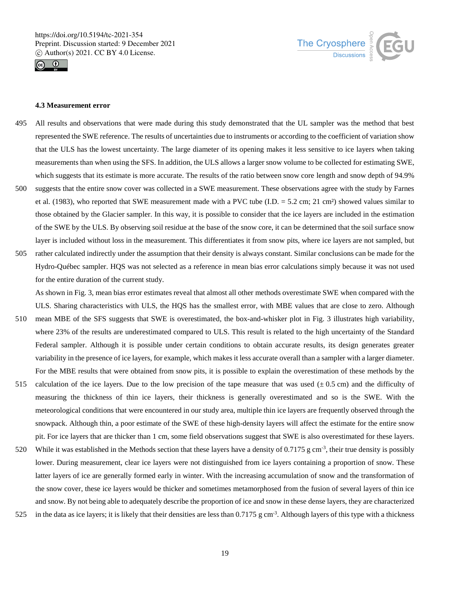



## **4.3 Measurement error**

- 495 All results and observations that were made during this study demonstrated that the UL sampler was the method that best represented the SWE reference. The results of uncertainties due to instruments or according to the coefficient of variation show that the ULS has the lowest uncertainty. The large diameter of its opening makes it less sensitive to ice layers when taking measurements than when using the SFS. In addition, the ULS allows a larger snow volume to be collected for estimating SWE, which suggests that its estimate is more accurate. The results of the ratio between snow core length and snow depth of 94.9%
- 500 suggests that the entire snow cover was collected in a SWE measurement. These observations agree with the study by Farnes et al. (1983), who reported that SWE measurement made with a PVC tube (I.D.  $= 5.2$  cm; 21 cm<sup>2</sup>) showed values similar to those obtained by the Glacier sampler. In this way, it is possible to consider that the ice layers are included in the estimation of the SWE by the ULS. By observing soil residue at the base of the snow core, it can be determined that the soil surface snow layer is included without loss in the measurement. This differentiates it from snow pits, where ice layers are not sampled, but
- 505 rather calculated indirectly under the assumption that their density is always constant. Similar conclusions can be made for the Hydro-Québec sampler. HQS was not selected as a reference in mean bias error calculations simply because it was not used for the entire duration of the current study.

As shown in Fig. 3, mean bias error estimates reveal that almost all other methods overestimate SWE when compared with the ULS. Sharing characteristics with ULS, the HQS has the smallest error, with MBE values that are close to zero. Although

- 510 mean MBE of the SFS suggests that SWE is overestimated, the box-and-whisker plot in Fig. 3 illustrates high variability, where 23% of the results are underestimated compared to ULS. This result is related to the high uncertainty of the Standard Federal sampler. Although it is possible under certain conditions to obtain accurate results, its design generates greater variability in the presence of ice layers, for example, which makes it less accurate overall than a sampler with a larger diameter. For the MBE results that were obtained from snow pits, it is possible to explain the overestimation of these methods by the
- 515 calculation of the ice layers. Due to the low precision of the tape measure that was used  $(\pm 0.5 \text{ cm})$  and the difficulty of measuring the thickness of thin ice layers, their thickness is generally overestimated and so is the SWE. With the meteorological conditions that were encountered in our study area, multiple thin ice layers are frequently observed through the snowpack. Although thin, a poor estimate of the SWE of these high-density layers will affect the estimate for the entire snow pit. For ice layers that are thicker than 1 cm, some field observations suggest that SWE is also overestimated for these layers.
- 520 While it was established in the Methods section that these layers have a density of 0.7175 g cm<sup>-3</sup>, their true density is possibly lower. During measurement, clear ice layers were not distinguished from ice layers containing a proportion of snow. These latter layers of ice are generally formed early in winter. With the increasing accumulation of snow and the transformation of the snow cover, these ice layers would be thicker and sometimes metamorphosed from the fusion of several layers of thin ice and snow. By not being able to adequately describe the proportion of ice and snow in these dense layers, they are characterized
- 525 in the data as ice layers; it is likely that their densities are less than  $0.7175$  g cm<sup>-3</sup>. Although layers of this type with a thickness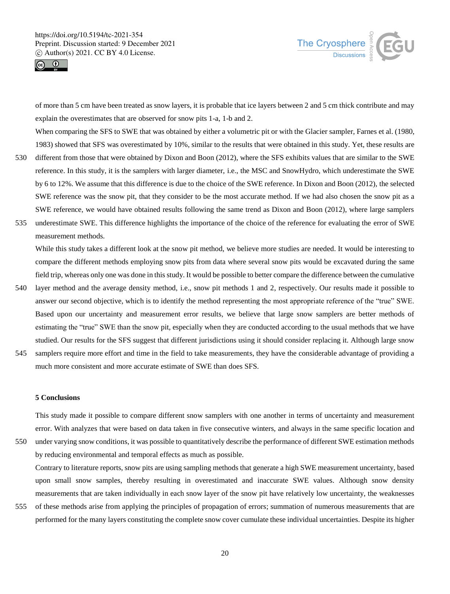



of more than 5 cm have been treated as snow layers, it is probable that ice layers between 2 and 5 cm thick contribute and may explain the overestimates that are observed for snow pits 1-a, 1-b and 2.

When comparing the SFS to SWE that was obtained by either a volumetric pit or with the Glacier sampler, Farnes et al. (1980, 1983) showed that SFS was overestimated by 10%, similar to the results that were obtained in this study. Yet, these results are

- 530 different from those that were obtained by Dixon and Boon (2012), where the SFS exhibits values that are similar to the SWE reference. In this study, it is the samplers with larger diameter, i.e., the MSC and SnowHydro, which underestimate the SWE by 6 to 12%. We assume that this difference is due to the choice of the SWE reference. In Dixon and Boon (2012), the selected SWE reference was the snow pit, that they consider to be the most accurate method. If we had also chosen the snow pit as a SWE reference, we would have obtained results following the same trend as Dixon and Boon (2012), where large samplers
- 535 underestimate SWE. This difference highlights the importance of the choice of the reference for evaluating the error of SWE measurement methods.

While this study takes a different look at the snow pit method, we believe more studies are needed. It would be interesting to compare the different methods employing snow pits from data where several snow pits would be excavated during the same field trip, whereas only one was done in this study. It would be possible to better compare the difference between the cumulative

- 540 layer method and the average density method, i.e., snow pit methods 1 and 2, respectively. Our results made it possible to answer our second objective, which is to identify the method representing the most appropriate reference of the "true" SWE. Based upon our uncertainty and measurement error results, we believe that large snow samplers are better methods of estimating the "true" SWE than the snow pit, especially when they are conducted according to the usual methods that we have studied. Our results for the SFS suggest that different jurisdictions using it should consider replacing it. Although large snow
- 545 samplers require more effort and time in the field to take measurements, they have the considerable advantage of providing a much more consistent and more accurate estimate of SWE than does SFS.

## **5 Conclusions**

This study made it possible to compare different snow samplers with one another in terms of uncertainty and measurement error. With analyzes that were based on data taken in five consecutive winters, and always in the same specific location and 550 under varying snow conditions, it was possible to quantitatively describe the performance of different SWE estimation methods by reducing environmental and temporal effects as much as possible.

Contrary to literature reports, snow pits are using sampling methods that generate a high SWE measurement uncertainty, based upon small snow samples, thereby resulting in overestimated and inaccurate SWE values. Although snow density measurements that are taken individually in each snow layer of the snow pit have relatively low uncertainty, the weaknesses

555 of these methods arise from applying the principles of propagation of errors; summation of numerous measurements that are performed for the many layers constituting the complete snow cover cumulate these individual uncertainties. Despite its higher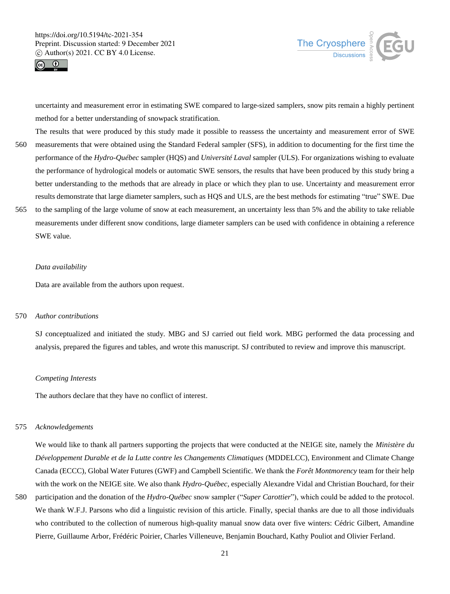



uncertainty and measurement error in estimating SWE compared to large-sized samplers, snow pits remain a highly pertinent method for a better understanding of snowpack stratification.

- The results that were produced by this study made it possible to reassess the uncertainty and measurement error of SWE 560 measurements that were obtained using the Standard Federal sampler (SFS), in addition to documenting for the first time the performance of the *Hydro-Québec* sampler (HQS) and *Université Laval* sampler (ULS). For organizations wishing to evaluate the performance of hydrological models or automatic SWE sensors, the results that have been produced by this study bring a better understanding to the methods that are already in place or which they plan to use. Uncertainty and measurement error results demonstrate that large diameter samplers, such as HQS and ULS, are the best methods for estimating "true" SWE. Due 565 to the sampling of the large volume of snow at each measurement, an uncertainty less than 5% and the ability to take reliable
- measurements under different snow conditions, large diameter samplers can be used with confidence in obtaining a reference SWE value.

#### *Data availability*

Data are available from the authors upon request.

#### 570 *Author contributions*

SJ conceptualized and initiated the study. MBG and SJ carried out field work. MBG performed the data processing and analysis, prepared the figures and tables, and wrote this manuscript. SJ contributed to review and improve this manuscript.

#### *Competing Interests*

The authors declare that they have no conflict of interest.

#### 575 *Acknowledgements*

We would like to thank all partners supporting the projects that were conducted at the NEIGE site, namely the *Ministère du Développement Durable et de la Lutte contre les Changements Climatiques* (MDDELCC), Environment and Climate Change Canada (ECCC), Global Water Futures (GWF) and Campbell Scientific. We thank the *Forêt Montmorency* team for their help with the work on the NEIGE site. We also thank *Hydro-Québec*, especially Alexandre Vidal and Christian Bouchard, for their

580 participation and the donation of the *Hydro-Québec* snow sampler ("*Super Carottier*"), which could be added to the protocol. We thank W.F.J. Parsons who did a linguistic revision of this article. Finally, special thanks are due to all those individuals who contributed to the collection of numerous high-quality manual snow data over five winters: Cédric Gilbert, Amandine Pierre, Guillaume Arbor, Frédéric Poirier, Charles Villeneuve, Benjamin Bouchard, Kathy Pouliot and Olivier Ferland.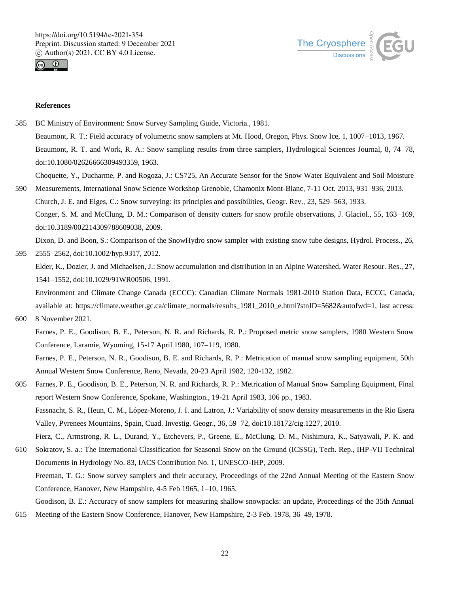



# **References**

- 585 BC Ministry of Environment: Snow Survey Sampling Guide, Victoria., 1981.
	- Beaumont, R. T.: Field accuracy of volumetric snow samplers at Mt. Hood, Oregon, Phys. Snow Ice, 1, 1007–1013, 1967.

Beaumont, R. T. and Work, R. A.: Snow sampling results from three samplers, Hydrological Sciences Journal, 8, 74–78, doi:10.1080/02626666309493359, 1963.

Choquette, Y., Ducharme, P. and Rogoza, J.: CS725, An Accurate Sensor for the Snow Water Equivalent and Soil Moisture

590 Measurements, International Snow Science Workshop Grenoble, Chamonix Mont-Blanc, 7-11 Oct. 2013, 931–936, 2013. Church, J. E. and Elges, C.: Snow surveying: its principles and possibilities, Geogr. Rev., 23, 529–563, 1933. Conger, S. M. and McClung, D. M.: Comparison of density cutters for snow profile observations, J. Glaciol., 55, 163–169, doi:10.3189/002214309788609038, 2009.

Dixon, D. and Boon, S.: Comparison of the SnowHydro snow sampler with existing snow tube designs, Hydrol. Process., 26, 595 2555–2562, doi:10.1002/hyp.9317, 2012.

Elder, K., Dozier, J. and Michaelsen, J.: Snow accumulation and distribution in an Alpine Watershed, Water Resour. Res., 27, 1541–1552, doi:10.1029/91WR00506, 1991.

Environment and Climate Change Canada (ECCC): Canadian Climate Normals 1981-2010 Station Data, ECCC, Canada, available at: https://climate.weather.gc.ca/climate\_normals/results\_1981\_2010\_e.html?stnID=5682&autofwd=1, last access: 600 8 November 2021.

Farnes, P. E., Goodison, B. E., Peterson, N. R. and Richards, R. P.: Proposed metric snow samplers, 1980 Western Snow Conference, Laramie, Wyoming, 15-17 April 1980, 107–119, 1980.

Farnes, P. E., Peterson, N. R., Goodison, B. E. and Richards, R. P.: Metrication of manual snow sampling equipment, 50th Annual Western Snow Conference, Reno, Nevada, 20-23 April 1982, 120-132, 1982.

- 605 Farnes, P. E., Goodison, B. E., Peterson, N. R. and Richards, R. P.: Metrication of Manual Snow Sampling Equipment, Final report Western Snow Conference, Spokane, Washington., 19-21 April 1983, 106 pp., 1983. Fassnacht, S. R., Heun, C. M., López-Moreno, J. I. and Latron, J.: Variability of snow density measurements in the Rio Esera Valley, Pyrenees Mountains, Spain, Cuad. Investig. Geogr., 36, 59–72, doi:10.18172/cig.1227, 2010. Fierz, C., Armstrong, R. L., Durand, Y., Etchevers, P., Greene, E., McClung, D. M., Nishimura, K., Satyawali, P. K. and
- 610 Sokratov, S. a.: The International Classification for Seasonal Snow on the Ground (ICSSG), Tech. Rep., IHP-VII Technical Documents in Hydrology No. 83, IACS Contribution No. 1, UNESCO-IHP, 2009. Freeman, T. G.: Snow survey samplers and their accuracy, Proceedings of the 22nd Annual Meeting of the Eastern Snow Conference, Hanover, New Hampshire, 4-5 Feb 1965, 1–10, 1965.

Goodison, B. E.: Accuracy of snow samplers for measuring shallow snowpacks: an update, Proceedings of the 35th Annual 615 Meeting of the Eastern Snow Conference, Hanover, New Hampshire, 2-3 Feb. 1978, 36–49, 1978.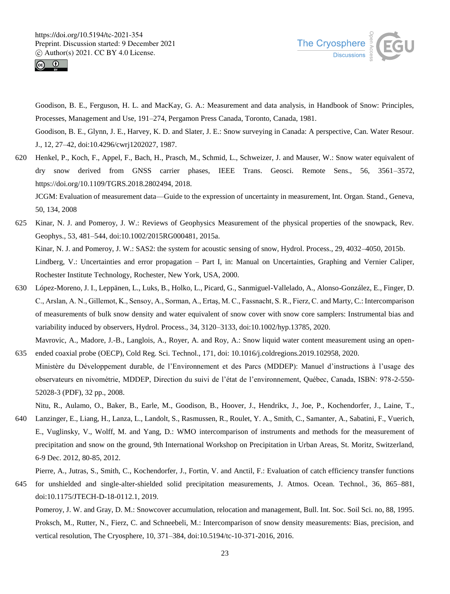



Goodison, B. E., Ferguson, H. L. and MacKay, G. A.: Measurement and data analysis, in Handbook of Snow: Principles, Processes, Management and Use, 191–274, Pergamon Press Canada, Toronto, Canada, 1981.

Goodison, B. E., Glynn, J. E., Harvey, K. D. and Slater, J. E.: Snow surveying in Canada: A perspective, Can. Water Resour. J., 12, 27–42, doi:10.4296/cwrj1202027, 1987.

620 Henkel, P., Koch, F., Appel, F., Bach, H., Prasch, M., Schmid, L., Schweizer, J. and Mauser, W.: Snow water equivalent of dry snow derived from GNSS carrier phases, IEEE Trans. Geosci. Remote Sens., 56, 3561–3572, https://doi.org/10.1109/TGRS.2018.2802494, 2018.

JCGM: Evaluation of measurement data—Guide to the expression of uncertainty in measurement, Int. Organ. Stand., Geneva, 50, 134, 2008

- 625 Kinar, N. J. and Pomeroy, J. W.: Reviews of Geophysics Measurement of the physical properties of the snowpack, Rev. Geophys., 53, 481–544, doi:10.1002/2015RG000481, 2015a. Kinar, N. J. and Pomeroy, J. W.: SAS2: the system for acoustic sensing of snow, Hydrol. Process., 29, 4032–4050, 2015b. Lindberg, V.: Uncertainties and error propagation – Part I, in: Manual on Uncertainties, Graphing and Vernier Caliper, Rochester Institute Technology, Rochester, New York, USA, 2000.
- 630 López-Moreno, J. I., Leppänen, L., Luks, B., Holko, L., Picard, G., Sanmiguel-Vallelado, A., Alonso-González, E., Finger, D. C., Arslan, A. N., Gillemot, K., Sensoy, A., Sorman, A., Ertaş, M. C., Fassnacht, S. R., Fierz, C. and Marty, C.: Intercomparison of measurements of bulk snow density and water equivalent of snow cover with snow core samplers: Instrumental bias and variability induced by observers, Hydrol. Process., 34, 3120–3133, doi:10.1002/hyp.13785, 2020.

Mavrovic, A., Madore, J.-B., Langlois, A., Royer, A. and Roy, A.: Snow liquid water content measurement using an open-635 ended coaxial probe (OECP), Cold Reg. Sci. Technol., 171, doi: 10.1016/j.coldregions.2019.102958, 2020.

Ministère du Développement durable, de l'Environnement et des Parcs (MDDEP): Manuel d'instructions à l'usage des observateurs en nivométrie, MDDEP, Direction du suivi de l'état de l'environnement, Québec, Canada, ISBN: 978-2-550- 52028-3 (PDF), 32 pp., 2008.

Nitu, R., Aulamo, O., Baker, B., Earle, M., Goodison, B., Hoover, J., Hendrikx, J., Joe, P., Kochendorfer, J., Laine, T.,

640 Lanzinger, E., Liang, H., Lanza, L., Landolt, S., Rasmussen, R., Roulet, Y. A., Smith, C., Samanter, A., Sabatini, F., Vuerich, E., Vuglinsky, V., Wolff, M. and Yang, D.: WMO intercomparison of instruments and methods for the measurement of precipitation and snow on the ground, 9th International Workshop on Precipitation in Urban Areas, St. Moritz, Switzerland, 6-9 Dec. 2012, 80-85, 2012.

Pierre, A., Jutras, S., Smith, C., Kochendorfer, J., Fortin, V. and Anctil, F.: Evaluation of catch efficiency transfer functions

645 for unshielded and single-alter-shielded solid precipitation measurements, J. Atmos. Ocean. Technol., 36, 865–881, doi:10.1175/JTECH-D-18-0112.1, 2019.

Pomeroy, J. W. and Gray, D. M.: Snowcover accumulation, relocation and management, Bull. Int. Soc. Soil Sci. no, 88, 1995. Proksch, M., Rutter, N., Fierz, C. and Schneebeli, M.: Intercomparison of snow density measurements: Bias, precision, and vertical resolution, The Cryosphere, 10, 371–384, doi:10.5194/tc-10-371-2016, 2016.